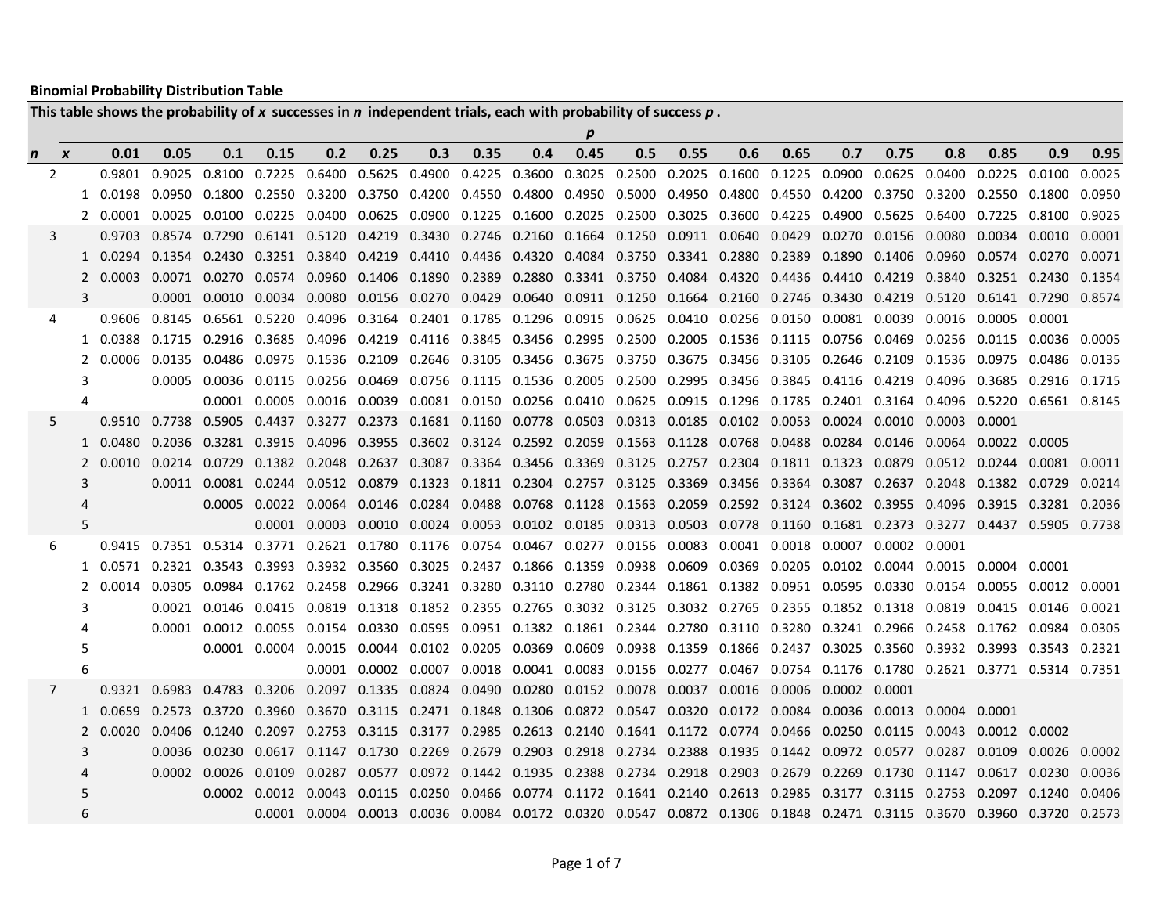## **Binomial Probability Distribution Table**

**This table shows the probability of** *x* **successes in** *n* **independent trials, each with probability of success** *p* **.** 

|            |   |   |                 |                               |                      |                                |        |                                                                                                             |     |      |     | $\boldsymbol{p}$ |     |      |     |      |     |                                                                                            |                                                                                                                                               |                          |     |      |
|------------|---|---|-----------------|-------------------------------|----------------------|--------------------------------|--------|-------------------------------------------------------------------------------------------------------------|-----|------|-----|------------------|-----|------|-----|------|-----|--------------------------------------------------------------------------------------------|-----------------------------------------------------------------------------------------------------------------------------------------------|--------------------------|-----|------|
| $n \times$ |   |   | 0.01            | 0.05                          | 0.1                  | 0.15                           | 0.2    | 0.25                                                                                                        | 0.3 | 0.35 | 0.4 | 0.45             | 0.5 | 0.55 | 0.6 | 0.65 | 0.7 | 0.75                                                                                       | 0.8                                                                                                                                           | 0.85                     | 0.9 | 0.95 |
|            | 2 |   |                 | 0.9801 0.9025 0.8100          |                      | 0.7225                         |        |                                                                                                             |     |      |     |                  |     |      |     |      |     |                                                                                            | 0.6400 0.5625 0.4900 0.4225 0.3600 0.3025 0.2500 0.2025 0.1600 0.1225 0.0900 0.0625 0.0400 0.0225 0.0100 0.0025                               |                          |     |      |
|            |   |   |                 | 1 0.0198 0.0950 0.1800 0.2550 |                      |                                |        |                                                                                                             |     |      |     |                  |     |      |     |      |     |                                                                                            | 0.3200 0.3750 0.4200 0.4550 0.4800 0.4950 0.5000 0.4950 0.4800 0.4550 0.4200 0.3750 0.3200 0.2550 0.1800 0.0950                               |                          |     |      |
|            |   |   |                 | 2 0.0001 0.0025 0.0100 0.0225 |                      |                                |        |                                                                                                             |     |      |     |                  |     |      |     |      |     |                                                                                            | 0.0400 0.0625 0.0900 0.1225 0.1600 0.2025 0.2500 0.3025 0.3600 0.4225 0.4900 0.5625 0.6400 0.7225 0.8100 0.9025                               |                          |     |      |
|            | 3 |   |                 | 0.9703 0.8574 0.7290          |                      |                                |        |                                                                                                             |     |      |     |                  |     |      |     |      |     |                                                                                            | 0.6141 0.5120 0.4219 0.3430 0.2746 0.2160 0.1664 0.1250 0.0911 0.0640 0.0429 0.0270 0.0156 0.0080 0.0034 0.0010 0.0001                        |                          |     |      |
|            |   |   |                 | 1 0.0294 0.1354 0.2430        |                      |                                |        |                                                                                                             |     |      |     |                  |     |      |     |      |     |                                                                                            | 0.3251 0.3840 0.4219 0.4410 0.4436 0.4320 0.4084 0.3750 0.3341 0.2880 0.2389 0.1890 0.1406 0.0960 0.0574 0.0270 0.0071                        |                          |     |      |
|            |   |   |                 | 2 0.0003 0.0071 0.0270 0.0574 |                      |                                |        |                                                                                                             |     |      |     |                  |     |      |     |      |     |                                                                                            | 0.0960 0.1406 0.1890 0.2389 0.2880 0.3341 0.3750 0.4084 0.4320 0.4436 0.4410 0.4219 0.3840 0.3251 0.2430 0.1354                               |                          |     |      |
|            |   | 3 |                 |                               |                      |                                |        |                                                                                                             |     |      |     |                  |     |      |     |      |     |                                                                                            | 0.0001 0.0010 0.0034 0.0080 0.0156 0.0270 0.0429 0.0640 0.0911 0.1250 0.1664 0.2160 0.2746 0.3430 0.4219 0.5120 0.6141 0.7290 0.8574          |                          |     |      |
|            | 4 |   |                 | 0.9606 0.8145 0.6561 0.5220   |                      |                                | 0.4096 |                                                                                                             |     |      |     |                  |     |      |     |      |     |                                                                                            | 0.3164 0.2401 0.1785 0.1296 0.0915 0.0625 0.0410 0.0256 0.0150 0.0081 0.0039 0.0016 0.0005 0.0001                                             |                          |     |      |
|            |   |   |                 | 1 0.0388 0.1715 0.2916 0.3685 |                      |                                |        |                                                                                                             |     |      |     |                  |     |      |     |      |     |                                                                                            | 0.4096 0.4219 0.4116 0.3845 0.3456 0.2995 0.2500 0.2005 0.1536 0.1115 0.0756 0.0469 0.0256 0.0115 0.0036 0.0005                               |                          |     |      |
|            |   |   |                 | 2 0.0006 0.0135 0.0486        |                      | 0.0975                         |        |                                                                                                             |     |      |     |                  |     |      |     |      |     |                                                                                            | 0.1536 0.2109 0.2646 0.3105 0.3456 0.3675 0.3750 0.3675 0.3456 0.3105 0.2646 0.2109 0.1536 0.0975 0.0486 0.0135                               |                          |     |      |
|            |   | 3 |                 |                               |                      |                                |        |                                                                                                             |     |      |     |                  |     |      |     |      |     |                                                                                            | 0.0005 0.0036 0.0115 0.0256 0.0469 0.0756 0.1115 0.1536 0.2005 0.2500 0.2995 0.3456 0.3845 0.4116 0.4219 0.4096 0.3685 0.2916 0.1715          |                          |     |      |
|            |   | Δ |                 |                               | 0.0001 0.0005        |                                |        |                                                                                                             |     |      |     |                  |     |      |     |      |     |                                                                                            | 0.0016 0.0039 0.0081 0.0150 0.0256 0.0410 0.0625 0.0915 0.1296 0.1785 0.2401 0.3164 0.4096 0.5220 0.6561 0.8145                               |                          |     |      |
|            | 5 |   |                 | 0.9510 0.7738 0.5905 0.4437   |                      |                                |        |                                                                                                             |     |      |     |                  |     |      |     |      |     |                                                                                            | 0.3277 0.2373 0.1681 0.1160 0.0778 0.0503 0.0313 0.0185 0.0102 0.0053 0.0024 0.0010 0.0003 0.0001                                             |                          |     |      |
|            |   |   |                 | 1 0.0480 0.2036 0.3281 0.3915 |                      |                                |        |                                                                                                             |     |      |     |                  |     |      |     |      |     |                                                                                            | 0.4096 0.3955 0.3602 0.3124 0.2592 0.2059 0.1563 0.1128 0.0768 0.0488 0.0284 0.0146 0.0064 0.0022 0.0005                                      |                          |     |      |
|            |   |   |                 |                               |                      |                                |        |                                                                                                             |     |      |     |                  |     |      |     |      |     |                                                                                            | 2 0.0010 0.0214 0.0729 0.1382 0.2048 0.2637 0.3087 0.3364 0.3456 0.3369 0.3125 0.2757 0.2304 0.1811 0.1323 0.0879 0.0512 0.0244 0.0081 0.0011 |                          |     |      |
|            |   | 3 |                 |                               |                      |                                |        |                                                                                                             |     |      |     |                  |     |      |     |      |     |                                                                                            | 0.0011 0.0081 0.0244 0.0512 0.0879 0.1323 0.1811 0.2304 0.2757 0.3125 0.3369 0.3456 0.3364 0.3087 0.2637 0.2048 0.1382 0.0729 0.0214          |                          |     |      |
|            |   | 4 |                 |                               |                      |                                |        |                                                                                                             |     |      |     |                  |     |      |     |      |     |                                                                                            | 0.0005 0.0022 0.0064 0.0146 0.0284 0.0488 0.0768 0.1128 0.1563 0.2059 0.2592 0.3124 0.3602 0.3955 0.4096 0.3915 0.3281 0.2036                 |                          |     |      |
|            |   | 5 |                 |                               |                      | 0.0001                         | 0.0003 |                                                                                                             |     |      |     |                  |     |      |     |      |     |                                                                                            | 0.0010 0.0024 0.0053 0.0102 0.0185 0.0313 0.0503 0.0778 0.1160 0.1681 0.2373 0.3277 0.4437 0.5905 0.7738                                      |                          |     |      |
|            | 6 |   |                 |                               |                      | 0.9415  0.7351  0.5314  0.3771 |        |                                                                                                             |     |      |     |                  |     |      |     |      |     | 0.2621 0.1780 0.1176 0.0754 0.0467 0.0277 0.0156 0.0083 0.0041 0.0018 0.0007 0.0002 0.0001 |                                                                                                                                               |                          |     |      |
|            |   |   |                 | 1 0.0571 0.2321 0.3543 0.3993 |                      |                                |        |                                                                                                             |     |      |     |                  |     |      |     |      |     |                                                                                            | 0.3932 0.3560 0.3025 0.2437 0.1866 0.1359 0.0938 0.0609 0.0369 0.0205 0.0102 0.0044 0.0015 0.0004 0.0001                                      |                          |     |      |
|            |   |   |                 |                               |                      |                                |        |                                                                                                             |     |      |     |                  |     |      |     |      |     |                                                                                            | 2 0.0014 0.0305 0.0984 0.1762 0.2458 0.2966 0.3241 0.3280 0.3110 0.2780 0.2344 0.1861 0.1382 0.0951 0.0595 0.0330 0.0154 0.0055 0.0012 0.0001 |                          |     |      |
|            |   | 3 |                 |                               |                      |                                |        |                                                                                                             |     |      |     |                  |     |      |     |      |     |                                                                                            | 0.0021 0.0146 0.0415 0.0819 0.1318 0.1852 0.2355 0.2765 0.3032 0.3125 0.3032 0.2765 0.2355 0.1852 0.1318 0.0819 0.0415 0.0146 0.0021          |                          |     |      |
|            |   | 4 |                 |                               | 0.0001 0.0012 0.0055 |                                |        |                                                                                                             |     |      |     |                  |     |      |     |      |     |                                                                                            | 0.0154 0.0330 0.0595 0.0951 0.1382 0.1861 0.2344 0.2780 0.3110 0.3280 0.3241 0.2966 0.2458 0.1762 0.0984 0.0305                               |                          |     |      |
|            |   | 5 |                 |                               |                      |                                |        |                                                                                                             |     |      |     |                  |     |      |     |      |     |                                                                                            | 0.0001 0.0004 0.0015 0.0044 0.0102 0.0205 0.0369 0.0609 0.0938 0.1359 0.1866 0.2437 0.3025 0.3560 0.3932 0.3993 0.3543 0.2321                 |                          |     |      |
|            |   | 6 |                 |                               |                      |                                |        |                                                                                                             |     |      |     |                  |     |      |     |      |     |                                                                                            | 0.0001 0.0002 0.0007 0.0018 0.0041 0.0083 0.0156 0.0277 0.0467 0.0754 0.1176 0.1780 0.2621 0.3771 0.5314 0.7351                               |                          |     |      |
|            | 7 |   |                 | 0.9321 0.6983 0.4783 0.3206   |                      |                                |        | $0.2097$ $0.1335$ $0.0824$ $0.0490$ $0.0280$ $0.0152$ $0.0078$ $0.0037$ $0.0016$ $0.0006$ $0.0002$ $0.0001$ |     |      |     |                  |     |      |     |      |     |                                                                                            |                                                                                                                                               |                          |     |      |
|            |   |   |                 | 1 0.0659 0.2573 0.3720 0.3960 |                      |                                |        |                                                                                                             |     |      |     |                  |     |      |     |      |     |                                                                                            | 0.3670 0.3115 0.2471 0.1848 0.1306 0.0872 0.0547 0.0320 0.0172 0.0084 0.0036 0.0013 0.0004 0.0001                                             |                          |     |      |
|            |   |   | 2 0.0020 0.0406 |                               | 0.1240               | 0.2097                         |        |                                                                                                             |     |      |     |                  |     |      |     |      |     |                                                                                            | 0.2753 0.3115 0.3177 0.2985 0.2613 0.2140 0.1641 0.1172 0.0774 0.0466 0.0250 0.0115 0.0043 0.0012 0.0002                                      |                          |     |      |
|            |   | 3 |                 | 0.0036                        | 0.0230               | 0.0617                         |        | 0.1147 0.1730 0.2269 0.2679                                                                                 |     |      |     |                  |     |      |     |      |     |                                                                                            | 0.2903  0.2918  0.2734  0.2388  0.1935  0.1442  0.0972  0.0577  0.0287  0.0109  0.0026  0.0002                                                |                          |     |      |
|            |   | 4 |                 |                               | 0.0002 0.0026        | 0.0109                         | 0.0287 |                                                                                                             |     |      |     |                  |     |      |     |      |     | 0.0577 0.0972 0.1442 0.1935 0.2388 0.2734 0.2918 0.2903 0.2679 0.2269 0.1730 0.1147        |                                                                                                                                               | 0.0617   0.0230   0.0036 |     |      |
|            |   | 5 |                 |                               |                      | 0.0002 0.0012 0.0043           |        | 0.0115                                                                                                      |     |      |     |                  |     |      |     |      |     |                                                                                            | 0.0250 0.0466 0.0774 0.1172 0.1641 0.2140 0.2613 0.2985 0.3177 0.3115 0.2753 0.2097 0.1240 0.0406                                             |                          |     |      |
|            |   | 6 |                 |                               |                      | 0.0001 0.0004                  |        |                                                                                                             |     |      |     |                  |     |      |     |      |     |                                                                                            | 0.0013 0.0036 0.0084 0.0172 0.0320 0.0547 0.0872 0.1306 0.1848 0.2471 0.3115 0.3670 0.3960 0.3720 0.2573                                      |                          |     |      |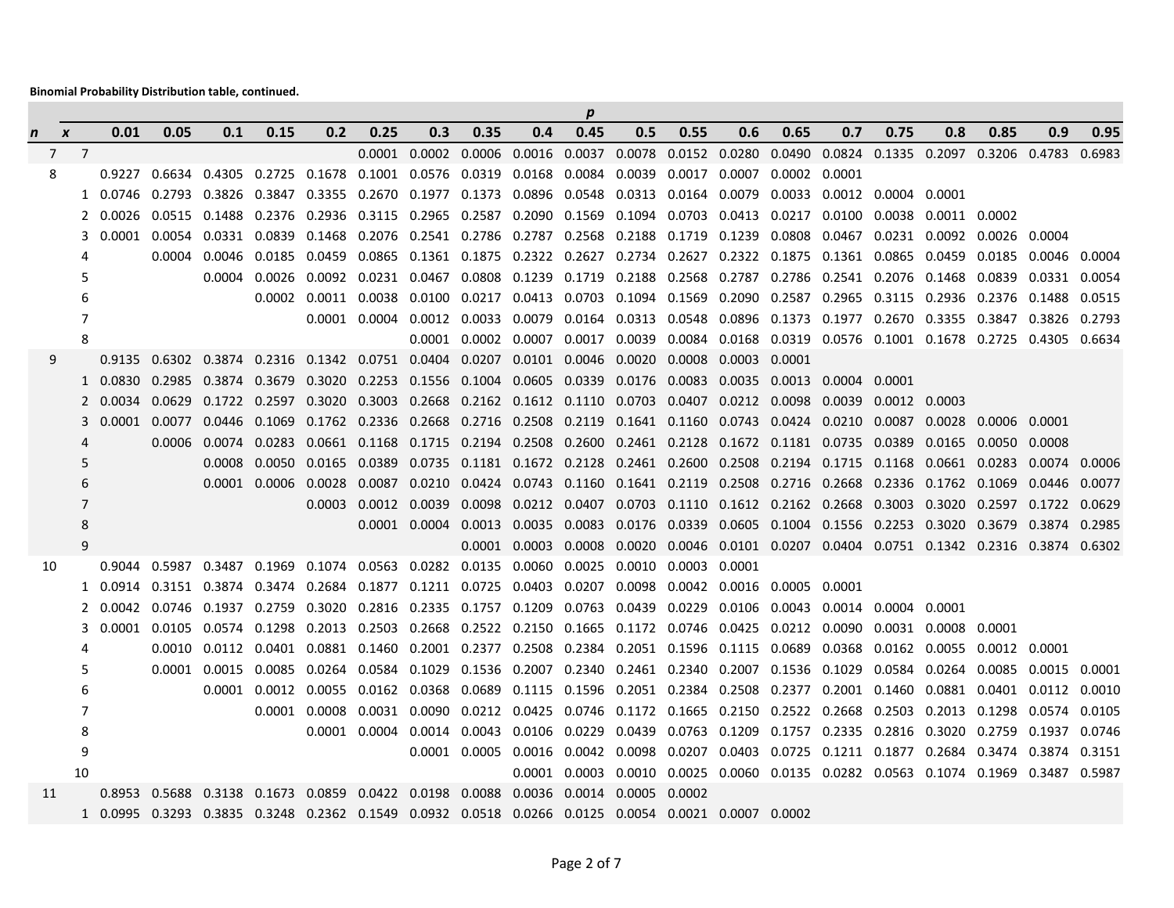|    |                  |                |          |      |                      |                             |        |                                                                                                                                      |     |      |     | р    |                                                                                                          |      |     |      |     |      |     |        |               |        |
|----|------------------|----------------|----------|------|----------------------|-----------------------------|--------|--------------------------------------------------------------------------------------------------------------------------------------|-----|------|-----|------|----------------------------------------------------------------------------------------------------------|------|-----|------|-----|------|-----|--------|---------------|--------|
| n  | $\boldsymbol{X}$ |                | 0.01     | 0.05 | 0.1                  | 0.15                        | 0.2    | 0.25                                                                                                                                 | 0.3 | 0.35 | 0.4 | 0.45 | 0.5                                                                                                      | 0.55 | 0.6 | 0.65 | 0.7 | 0.75 | 0.8 | 0.85   | 0.9           | 0.95   |
|    | $7^{\circ}$      | $\overline{7}$ |          |      |                      |                             |        |                                                                                                                                      |     |      |     |      | 0.0001 0.0002 0.0006 0.0016 0.0037 0.0078 0.0152 0.0280 0.0490 0.0824 0.1335 0.2097 0.3206 0.4783 0.6983 |      |     |      |     |      |     |        |               |        |
| 8  |                  |                | 0.9227   |      | 0.6634 0.4305 0.2725 |                             |        | $0.1678$ $0.1001$ $0.0576$ $0.0319$ $0.0168$ $0.0084$ $0.0039$ $0.0017$ $0.0007$ $0.0002$ $0.0001$                                   |     |      |     |      |                                                                                                          |      |     |      |     |      |     |        |               |        |
|    |                  |                |          |      |                      |                             |        | 1 0.0746 0.2793 0.3826 0.3847 0.3355 0.2670 0.1977 0.1373 0.0896 0.0548 0.0313 0.0164 0.0079 0.0033 0.0012 0.0004 0.0001             |     |      |     |      |                                                                                                          |      |     |      |     |      |     |        |               |        |
|    |                  |                | 2 0.0026 |      |                      |                             |        | 0.0515 0.1488 0.2376 0.2936 0.3115 0.2965 0.2587 0.2090 0.1569 0.1094 0.0703 0.0413 0.0217 0.0100 0.0038 0.0011 0.0002               |     |      |     |      |                                                                                                          |      |     |      |     |      |     |        |               |        |
|    |                  | 3              |          |      |                      |                             |        | 0.0001 0.0054 0.0331 0.0839 0.1468 0.2076 0.2541 0.2786 0.2787 0.2568 0.2188 0.1719 0.1239 0.0808 0.0467 0.0231 0.0092 0.0026 0.0004 |     |      |     |      |                                                                                                          |      |     |      |     |      |     |        |               |        |
|    |                  | 4              |          |      |                      |                             |        | 0.0004 0.0046 0.0185 0.0459 0.0865 0.1361 0.1875 0.2322 0.2627 0.2734 0.2627 0.2322 0.1875 0.1361 0.0865 0.0459 0.0185 0.0046 0.0004 |     |      |     |      |                                                                                                          |      |     |      |     |      |     |        |               |        |
|    |                  | 5              |          |      |                      |                             |        | 0.0004 0.0026 0.0092 0.0231 0.0467 0.0808 0.1239 0.1719 0.2188 0.2568 0.2787 0.2786 0.2541 0.2076 0.1468 0.0839 0.0331 0.0054        |     |      |     |      |                                                                                                          |      |     |      |     |      |     |        |               |        |
|    |                  | 6              |          |      |                      |                             |        | 0.0002 0.0011 0.0038 0.0100 0.0217 0.0413 0.0703 0.1094 0.1569 0.2090 0.2587 0.2965 0.3115 0.2936 0.2376 0.1488 0.0515               |     |      |     |      |                                                                                                          |      |     |      |     |      |     |        |               |        |
|    |                  | 7              |          |      |                      |                             |        | 0.0001 0.0004 0.0012 0.0033 0.0079 0.0164 0.0313 0.0548 0.0896 0.1373 0.1977 0.2670 0.3355 0.3847 0.3826 0.2793                      |     |      |     |      |                                                                                                          |      |     |      |     |      |     |        |               |        |
|    |                  | 8              |          |      |                      |                             |        |                                                                                                                                      |     |      |     |      | 0.0001 0.0002 0.0007 0.0017 0.0039 0.0084 0.0168 0.0319 0.0576 0.1001 0.1678 0.2725 0.4305 0.6634        |      |     |      |     |      |     |        |               |        |
|    | 9                |                |          |      |                      |                             |        | 0.9135 0.6302 0.3874 0.2316 0.1342 0.0751 0.0404 0.0207 0.0101 0.0046 0.0020 0.0008 0.0003 0.0001                                    |     |      |     |      |                                                                                                          |      |     |      |     |      |     |        |               |        |
|    |                  |                |          |      |                      |                             |        | 1 0.0830 0.2985 0.3874 0.3679 0.3020 0.2253 0.1556 0.1004 0.0605 0.0339 0.0176 0.0083 0.0035 0.0013 0.0004 0.0001                    |     |      |     |      |                                                                                                          |      |     |      |     |      |     |        |               |        |
|    |                  | 2              | 0.0034   |      |                      |                             |        | 0.0629 0.1722 0.2597 0.3020 0.3003 0.2668 0.2162 0.1612 0.1110 0.0703 0.0407 0.0212 0.0098 0.0039 0.0012 0.0003                      |     |      |     |      |                                                                                                          |      |     |      |     |      |     |        |               |        |
|    |                  | 3              |          |      |                      | 0.0001 0.0077 0.0446 0.1069 |        | $0.1762$ $0.2336$ $0.2668$ $0.2716$ $0.2508$ $0.2119$ $0.1641$ $0.1160$ $0.0743$ $0.0424$ $0.0210$ $0.0087$ $0.0028$ $0.0006$        |     |      |     |      |                                                                                                          |      |     |      |     |      |     |        | 0.0001        |        |
|    |                  | 4              |          |      |                      |                             |        | 0.0006 0.0074 0.0283 0.0661 0.1168 0.1715 0.2194 0.2508 0.2600 0.2461 0.2128 0.1672 0.1181 0.0735 0.0389 0.0165 0.0050 0.0008        |     |      |     |      |                                                                                                          |      |     |      |     |      |     |        |               |        |
|    |                  | 5              |          |      |                      |                             |        | 0.0008 0.0050 0.0165 0.0389 0.0735 0.1181 0.1672 0.2128 0.2461 0.2600 0.2508 0.2194 0.1715 0.1168 0.0661 0.0283 0.0074 0.0006        |     |      |     |      |                                                                                                          |      |     |      |     |      |     |        |               |        |
|    |                  | 6              |          |      |                      | 0.0001 0.0006               |        | 0.0028 0.0087 0.0210 0.0424 0.0743 0.1160 0.1641 0.2119 0.2508 0.2716 0.2668 0.2336 0.1762 0.1069                                    |     |      |     |      |                                                                                                          |      |     |      |     |      |     |        | 0.0446        | 0.0077 |
|    |                  | 7              |          |      |                      |                             | 0.0003 | 0.0012 0.0039 0.0098 0.0212 0.0407 0.0703 0.1110 0.1612 0.2162 0.2668 0.3003 0.3020 0.2597 0.1722 0.0629                             |     |      |     |      |                                                                                                          |      |     |      |     |      |     |        |               |        |
|    |                  | 8              |          |      |                      |                             |        |                                                                                                                                      |     |      |     |      | 0.0001 0.0004 0.0013 0.0035 0.0083 0.0176 0.0339 0.0605 0.1004 0.1556 0.2253 0.3020 0.3679               |      |     |      |     |      |     |        | 0.3874 0.2985 |        |
|    |                  | 9              |          |      |                      |                             |        |                                                                                                                                      |     |      |     |      | 0.0001 0.0003 0.0008 0.0020 0.0046 0.0101 0.0207 0.0404 0.0751 0.1342 0.2316 0.3874 0.6302               |      |     |      |     |      |     |        |               |        |
| 10 |                  |                |          |      |                      |                             |        | 0.9044 0.5987 0.3487 0.1969 0.1074 0.0563 0.0282 0.0135 0.0060 0.0025 0.0010 0.0003 0.0001                                           |     |      |     |      |                                                                                                          |      |     |      |     |      |     |        |               |        |
|    |                  |                | 1 0.0914 |      |                      |                             |        | 0.3151  0.3874  0.3474  0.2684  0.1877  0.1211  0.0725  0.0403  0.0207  0.0098  0.0042  0.0016  0.0005  0.0001                       |     |      |     |      |                                                                                                          |      |     |      |     |      |     |        |               |        |
|    |                  |                |          |      |                      |                             |        | 2 0.0042 0.0746 0.1937 0.2759 0.3020 0.2816 0.2335 0.1757 0.1209 0.0763 0.0439 0.0229 0.0106 0.0043 0.0014 0.0004 0.0001             |     |      |     |      |                                                                                                          |      |     |      |     |      |     |        |               |        |
|    |                  | 3              |          |      |                      |                             |        | 0.0001 0.0105 0.0574 0.1298 0.2013 0.2503 0.2668 0.2522 0.2150 0.1665 0.1172 0.0746 0.0425 0.0212 0.0090 0.0031 0.0008               |     |      |     |      |                                                                                                          |      |     |      |     |      |     | 0.0001 |               |        |
|    |                  | 4              |          |      |                      |                             |        | 0.0010 0.0112 0.0401 0.0881 0.1460 0.2001 0.2377 0.2508 0.2384 0.2051 0.1596 0.1115 0.0689 0.0368 0.0162 0.0055 0.0012 0.0001        |     |      |     |      |                                                                                                          |      |     |      |     |      |     |        |               |        |
|    |                  | 5              |          |      |                      |                             |        | 0.0001 0.0015 0.0085 0.0264 0.0584 0.1029 0.1536 0.2007 0.2340 0.2461 0.2340 0.2007 0.1536 0.1029 0.0584 0.0264 0.0085 0.0015 0.0001 |     |      |     |      |                                                                                                          |      |     |      |     |      |     |        |               |        |
|    |                  | 6              |          |      |                      |                             |        | 0.0001 0.0012 0.0055 0.0162 0.0368 0.0689 0.1115 0.1596 0.2051 0.2384 0.2508 0.2377 0.2001 0.1460 0.0881 0.0401 0.0112 0.0010        |     |      |     |      |                                                                                                          |      |     |      |     |      |     |        |               |        |
|    |                  | $\overline{7}$ |          |      |                      |                             |        | 0.0001 0.0008 0.0031 0.0090 0.0212 0.0425 0.0746 0.1172 0.1665 0.2150 0.2522 0.2668 0.2503 0.2013 0.1298                             |     |      |     |      |                                                                                                          |      |     |      |     |      |     |        | 0.0574 0.0105 |        |
|    |                  | 8              |          |      |                      |                             |        | 0.0001 0.0004 0.0014 0.0043 0.0106 0.0229 0.0439 0.0763 0.1209 0.1757 0.2335 0.2816 0.3020                                           |     |      |     |      |                                                                                                          |      |     |      |     |      |     | 0.2759 | 0.1937 0.0746 |        |
|    |                  | 9              |          |      |                      |                             |        |                                                                                                                                      |     |      |     |      | 0.0001  0.0005  0.0016  0.0042  0.0098  0.0207  0.0403  0.0725  0.1211  0.1877  0.2684                   |      |     |      |     |      |     | 0.3474 | 0.3874 0.3151 |        |
|    |                  | 10             |          |      |                      |                             |        |                                                                                                                                      |     |      |     |      | 0.0001 0.0003 0.0010 0.0025 0.0060 0.0135 0.0282 0.0563 0.1074 0.1969 0.3487 0.5987                      |      |     |      |     |      |     |        |               |        |
| 11 |                  |                |          |      |                      |                             |        | 0.8953 0.5688 0.3138 0.1673 0.0859 0.0422 0.0198 0.0088 0.0036 0.0014 0.0005 0.0002                                                  |     |      |     |      |                                                                                                          |      |     |      |     |      |     |        |               |        |
|    |                  |                |          |      |                      |                             |        | 1 0.0995 0.3293 0.3835 0.3248 0.2362 0.1549 0.0932 0.0518 0.0266 0.0125 0.0054 0.0021 0.0007 0.0002                                  |     |      |     |      |                                                                                                          |      |     |      |     |      |     |        |               |        |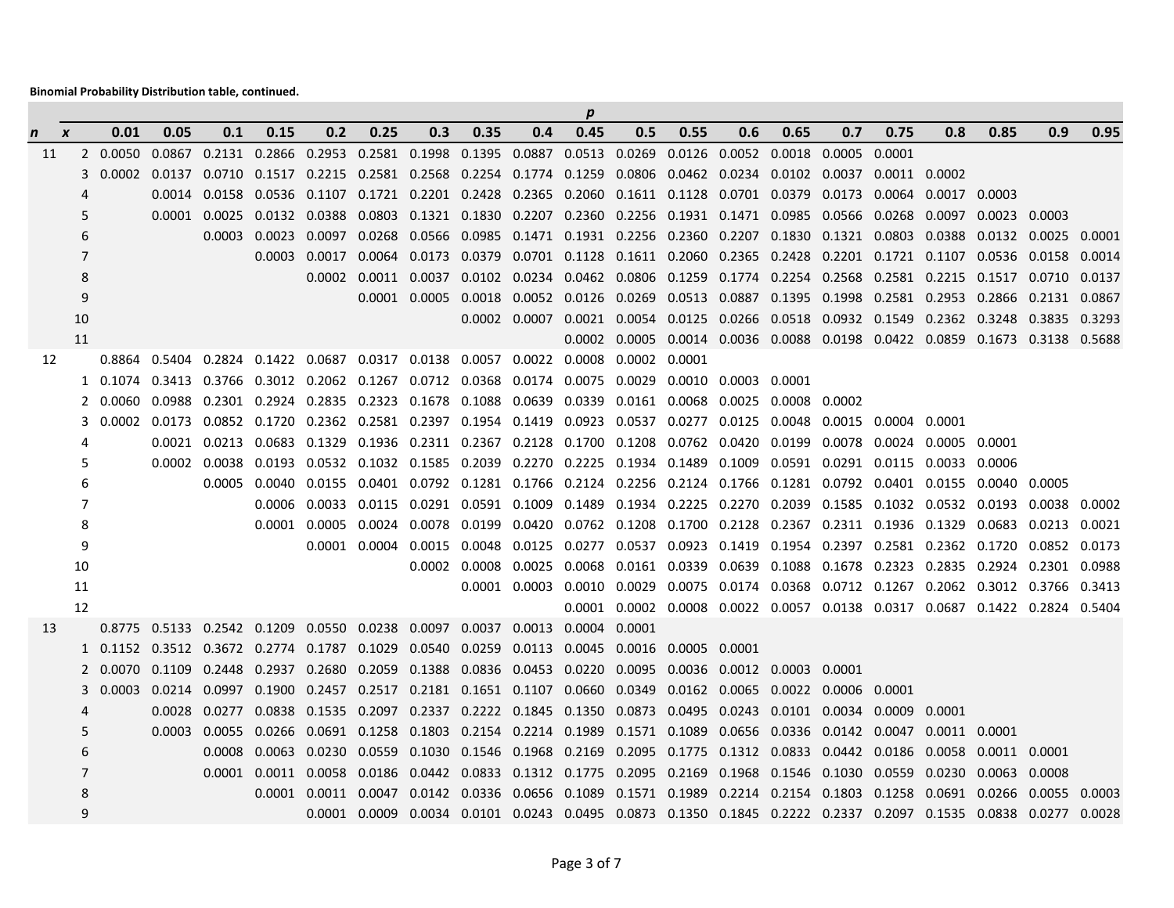**Binomial Probability Distribution table, continued.**

|             |                |                                                                                                            |      |     |      |     |                                                                                        |     |      |     | p    |                                                                                                                               |      |     |      |     |        |     |                      |        |        |
|-------------|----------------|------------------------------------------------------------------------------------------------------------|------|-----|------|-----|----------------------------------------------------------------------------------------|-----|------|-----|------|-------------------------------------------------------------------------------------------------------------------------------|------|-----|------|-----|--------|-----|----------------------|--------|--------|
| $\mathbf n$ | X              | 0.01                                                                                                       | 0.05 | 0.1 | 0.15 | 0.2 | 0.25                                                                                   | 0.3 | 0.35 | 0.4 | 0.45 | 0.5                                                                                                                           | 0.55 | 0.6 | 0.65 | 0.7 | 0.75   | 0.8 | 0.85                 | 0.9    | 0.95   |
| 11          |                | 2 0.0050                                                                                                   |      |     |      |     |                                                                                        |     |      |     |      | 0.0867 0.2131 0.2866 0.2953 0.2581 0.1998 0.1395 0.0887 0.0513 0.0269 0.0126 0.0052 0.0018 0.0005                             |      |     |      |     | 0.0001 |     |                      |        |        |
|             | 3              |                                                                                                            |      |     |      |     |                                                                                        |     |      |     |      | 0.0002 0.0137 0.0710 0.1517 0.2215 0.2581 0.2568 0.2254 0.1774 0.1259 0.0806 0.0462 0.0234 0.0102 0.0037 0.0011 0.0002        |      |     |      |     |        |     |                      |        |        |
|             | 4              |                                                                                                            |      |     |      |     |                                                                                        |     |      |     |      | 0.0014 0.0158 0.0536 0.1107 0.1721 0.2201 0.2428 0.2365 0.2060 0.1611 0.1128 0.0701 0.0379 0.0173 0.0064 0.0017 0.0003        |      |     |      |     |        |     |                      |        |        |
|             | 5              |                                                                                                            |      |     |      |     |                                                                                        |     |      |     |      | 0.0001 0.0025 0.0132 0.0388 0.0803 0.1321 0.1830 0.2207 0.2360 0.2256 0.1931 0.1471 0.0985 0.0566 0.0268 0.0097 0.0023 0.0003 |      |     |      |     |        |     |                      |        |        |
|             | 6              |                                                                                                            |      |     |      |     |                                                                                        |     |      |     |      | 0.0003 0.0023 0.0097 0.0268 0.0566 0.0985 0.1471 0.1931 0.2256 0.2360 0.2207 0.1830 0.1321 0.0803 0.0388                      |      |     |      |     |        |     | 0.0132 0.0025 0.0001 |        |        |
|             | 7              |                                                                                                            |      |     |      |     |                                                                                        |     |      |     |      | 0.0003 0.0017 0.0064 0.0173 0.0379 0.0701 0.1128 0.1611 0.2060 0.2365 0.2428 0.2201 0.1721 0.1107 0.0536 0.0158 0.0014        |      |     |      |     |        |     |                      |        |        |
|             | 8              |                                                                                                            |      |     |      |     |                                                                                        |     |      |     |      | 0.0002 0.0011 0.0037 0.0102 0.0234 0.0462 0.0806 0.1259 0.1774 0.2254 0.2568 0.2581 0.2215                                    |      |     |      |     |        |     |                      |        |        |
|             | 9              |                                                                                                            |      |     |      |     |                                                                                        |     |      |     |      | 0.0001 0.0005 0.0018 0.0052 0.0126 0.0269 0.0513 0.0887 0.1395 0.1998 0.2581 0.2953 0.2866 0.2131 0.0867                      |      |     |      |     |        |     |                      |        |        |
|             | 10             |                                                                                                            |      |     |      |     |                                                                                        |     |      |     |      | 0.0002 0.0007 0.0021 0.0054 0.0125 0.0266 0.0518 0.0932 0.1549 0.2362 0.3248 0.3835 0.3293                                    |      |     |      |     |        |     |                      |        |        |
|             | 11             |                                                                                                            |      |     |      |     |                                                                                        |     |      |     |      | 0.0002 0.0005 0.0014 0.0036 0.0088 0.0198 0.0422 0.0859 0.1673 0.3138 0.5688                                                  |      |     |      |     |        |     |                      |        |        |
| 12          |                |                                                                                                            |      |     |      |     |                                                                                        |     |      |     |      | 0.8864 0.5404 0.2824 0.1422 0.0687 0.0317 0.0138 0.0057 0.0022 0.0008 0.0002 0.0001                                           |      |     |      |     |        |     |                      |        |        |
|             |                | 1 0.1074 0.3413 0.3766 0.3012 0.2062 0.1267 0.0712 0.0368 0.0174 0.0075 0.0029 0.0010 0.0003 0.0001        |      |     |      |     |                                                                                        |     |      |     |      |                                                                                                                               |      |     |      |     |        |     |                      |        |        |
|             | 2              | 0.0060                                                                                                     |      |     |      |     |                                                                                        |     |      |     |      | $0.0988$ $0.2301$ $0.2924$ $0.2835$ $0.2323$ $0.1678$ $0.1088$ $0.0639$ $0.0339$ $0.0161$ $0.0068$ $0.0025$ $0.0008$ $0.0002$ |      |     |      |     |        |     |                      |        |        |
|             | 3              |                                                                                                            |      |     |      |     |                                                                                        |     |      |     |      | 0.0002 0.0173 0.0852 0.1720 0.2362 0.2581 0.2397 0.1954 0.1419 0.0923 0.0537 0.0277 0.0125 0.0048 0.0015 0.0004 0.0001        |      |     |      |     |        |     |                      |        |        |
|             | 4              |                                                                                                            |      |     |      |     |                                                                                        |     |      |     |      | 0.0021 0.0213 0.0683 0.1329 0.1936 0.2311 0.2367 0.2128 0.1700 0.1208 0.0762 0.0420 0.0199 0.0078 0.0024 0.0005               |      |     |      |     |        |     | 0.0001               |        |        |
|             | 5              |                                                                                                            |      |     |      |     |                                                                                        |     |      |     |      | 0.0002 0.0038 0.0193 0.0532 0.1032 0.1585 0.2039 0.2270 0.2225 0.1934 0.1489 0.1009 0.0591 0.0291 0.0115 0.0033 0.0006        |      |     |      |     |        |     |                      |        |        |
|             | 6              |                                                                                                            |      |     |      |     |                                                                                        |     |      |     |      | 0.0005 0.0040 0.0155 0.0401 0.0792 0.1281 0.1766 0.2124 0.2256 0.2124 0.1766 0.1281 0.0792 0.0401 0.0155                      |      |     |      |     |        |     | 0.0040 0.0005        |        |        |
|             | 7              |                                                                                                            |      |     |      |     |                                                                                        |     |      |     |      | 0.0006 0.0033 0.0115 0.0291 0.0591 0.1009 0.1489 0.1934 0.2225 0.2270 0.2039 0.1585 0.1032 0.0532 0.0193                      |      |     |      |     |        |     |                      | 0.0038 | 0.0002 |
|             | 8              |                                                                                                            |      |     |      |     |                                                                                        |     |      |     |      | 0.0001 0.0005 0.0024 0.0078 0.0199 0.0420 0.0762 0.1208 0.1700 0.2128 0.2367 0.2311 0.1936 0.1329                             |      |     |      |     |        |     | 0.0683               | 0.0213 | 0.0021 |
|             | 9              |                                                                                                            |      |     |      |     |                                                                                        |     |      |     |      | 0.0001 0.0004 0.0015 0.0048 0.0125 0.0277 0.0537 0.0923 0.1419 0.1954 0.2397 0.2581 0.2362 0.1720 0.0852 0.0173               |      |     |      |     |        |     |                      |        |        |
|             | 10             |                                                                                                            |      |     |      |     |                                                                                        |     |      |     |      | 0.0002 0.0008 0.0025 0.0068 0.0161 0.0339 0.0639 0.1088 0.1678 0.2323 0.2835 0.2924 0.2301 0.0988                             |      |     |      |     |        |     |                      |        |        |
|             | 11             |                                                                                                            |      |     |      |     |                                                                                        |     |      |     |      | 0.0001 0.0003 0.0010 0.0029 0.0075 0.0174 0.0368 0.0712 0.1267 0.2062 0.3012 0.3766 0.3413                                    |      |     |      |     |        |     |                      |        |        |
|             | 12             |                                                                                                            |      |     |      |     |                                                                                        |     |      |     |      | 0.0001  0.0002  0.0008  0.0022  0.0057  0.0138  0.0317  0.0687  0.1422  0.2824  0.5404                                        |      |     |      |     |        |     |                      |        |        |
| 13          |                |                                                                                                            |      |     |      |     | 0.8775  0.5133  0.2542  0.1209  0.0550  0.0238  0.0097  0.0037  0.0013  0.0004  0.0001 |     |      |     |      |                                                                                                                               |      |     |      |     |        |     |                      |        |        |
|             |                | 1 0.1152 0.3512 0.3672 0.2774 0.1787 0.1029 0.0540 0.0259 0.0113 0.0045 0.0016 0.0005 0.0001               |      |     |      |     |                                                                                        |     |      |     |      |                                                                                                                               |      |     |      |     |        |     |                      |        |        |
|             |                | 2 0.0070 0.1109 0.2448 0.2937 0.2680 0.2059 0.1388 0.0836 0.0453 0.0220 0.0095 0.0036 0.0012 0.0003 0.0001 |      |     |      |     |                                                                                        |     |      |     |      |                                                                                                                               |      |     |      |     |        |     |                      |        |        |
|             | 3              |                                                                                                            |      |     |      |     |                                                                                        |     |      |     |      | 0.0003 0.0214 0.0997 0.1900 0.2457 0.2517 0.2181 0.1651 0.1107 0.0660 0.0349 0.0162 0.0065 0.0022 0.0006 0.0001               |      |     |      |     |        |     |                      |        |        |
|             |                |                                                                                                            |      |     |      |     |                                                                                        |     |      |     |      | 0.0028 0.0277 0.0838 0.1535 0.2097 0.2337 0.2222 0.1845 0.1350 0.0873 0.0495 0.0243 0.0101 0.0034 0.0009 0.0001               |      |     |      |     |        |     |                      |        |        |
|             | 5              |                                                                                                            |      |     |      |     |                                                                                        |     |      |     |      | 0.0003 0.0055 0.0266 0.0691 0.1258 0.1803 0.2154 0.2214 0.1989 0.1571 0.1089 0.0656 0.0336 0.0142 0.0047 0.0011 0.0001        |      |     |      |     |        |     |                      |        |        |
|             | 6              |                                                                                                            |      |     |      |     |                                                                                        |     |      |     |      | 0.0008 0.0063 0.0230 0.0559 0.1030 0.1546 0.1968 0.2169 0.2095 0.1775 0.1312 0.0833 0.0442 0.0186 0.0058 0.0011 0.0001        |      |     |      |     |        |     |                      |        |        |
|             | $\overline{7}$ |                                                                                                            |      |     |      |     |                                                                                        |     |      |     |      | 0.0001 0.0011 0.0058 0.0186 0.0442 0.0833 0.1312 0.1775 0.2095 0.2169 0.1968 0.1546 0.1030 0.0559 0.0230                      |      |     |      |     |        |     | 0.0063 0.0008        |        |        |
|             | 8              |                                                                                                            |      |     |      |     |                                                                                        |     |      |     |      | 0.0001 0.0011 0.0047 0.0142 0.0336 0.0656 0.1089 0.1571 0.1989 0.2214 0.2154 0.1803 0.1258 0.0691 0.0266                      |      |     |      |     |        |     |                      | 0.0055 | 0.0003 |
|             | 9              |                                                                                                            |      |     |      |     |                                                                                        |     |      |     |      | 0.0001 0.0009 0.0034 0.0101 0.0243 0.0495 0.0873 0.1350 0.1845 0.2222 0.2337 0.2097 0.1535 0.0838 0.0277 0.0028               |      |     |      |     |        |     |                      |        |        |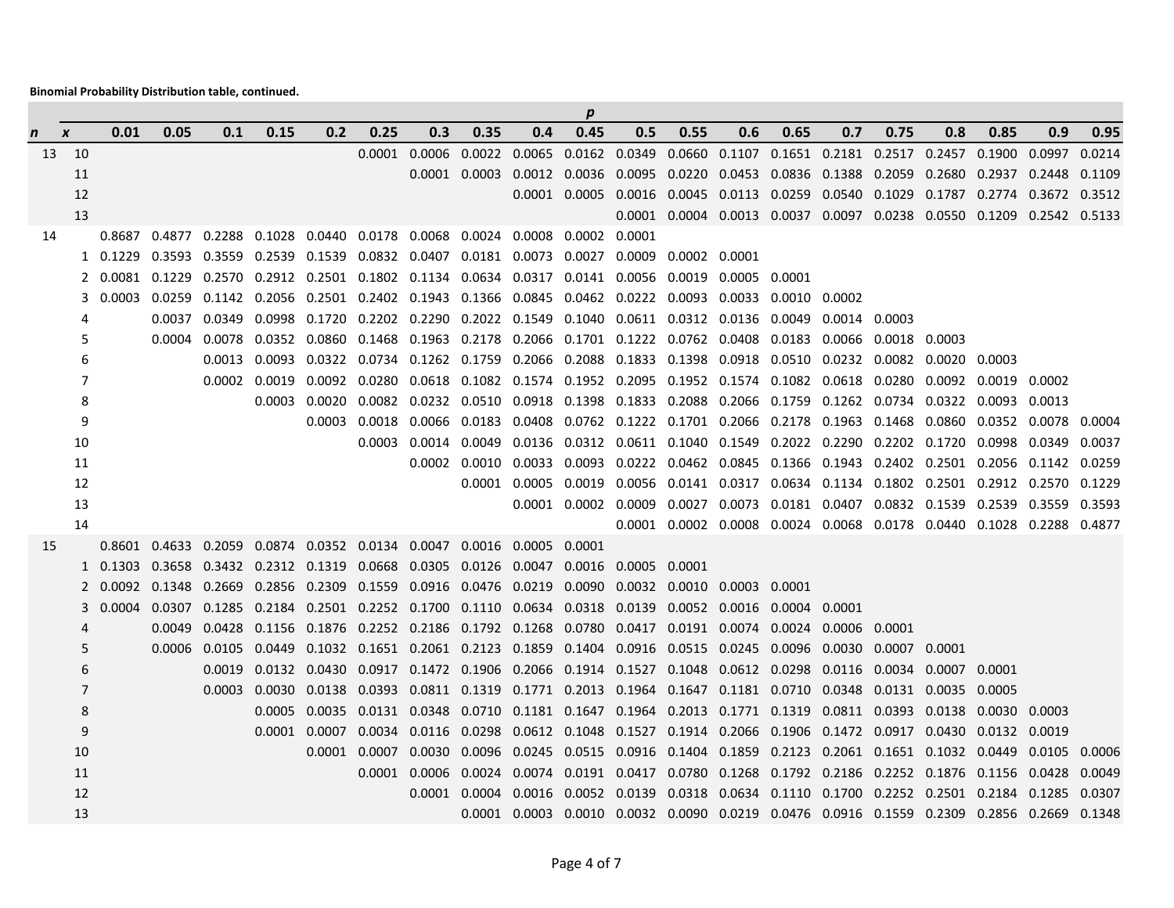|    |                  |      |                             |                      |                                                                                                                                        |                  |                                                                                                        |     |               |     | $\boldsymbol{p}$ |                                                                                        |      |     |      |     |      |                                                                                                                 |                      |               |        |
|----|------------------|------|-----------------------------|----------------------|----------------------------------------------------------------------------------------------------------------------------------------|------------------|--------------------------------------------------------------------------------------------------------|-----|---------------|-----|------------------|----------------------------------------------------------------------------------------|------|-----|------|-----|------|-----------------------------------------------------------------------------------------------------------------|----------------------|---------------|--------|
| n  | $\boldsymbol{X}$ | 0.01 | 0.05                        | 0.1                  | 0.15                                                                                                                                   | 0.2 <sub>0</sub> | 0.25                                                                                                   | 0.3 | 0.35          | 0.4 | 0.45             | 0.5                                                                                    | 0.55 | 0.6 | 0.65 | 0.7 | 0.75 | 0.8                                                                                                             | 0.85                 | 0.9           | 0.95   |
|    | 13 10            |      |                             |                      |                                                                                                                                        |                  |                                                                                                        |     |               |     |                  |                                                                                        |      |     |      |     |      | 0.0001 0.0006 0.0022 0.0065 0.0162 0.0349 0.0660 0.1107 0.1651 0.2181 0.2517 0.2457 0.1900 0.0997 0.0214        |                      |               |        |
|    | 11               |      |                             |                      |                                                                                                                                        |                  |                                                                                                        |     |               |     |                  | 0.0001  0.0003  0.0012  0.0036  0.0095  0.0220  0.0453  0.0836  0.1388  0.2059  0.2680 |      |     |      |     |      |                                                                                                                 | 0.2937 0.2448 0.1109 |               |        |
|    | 12               |      |                             |                      |                                                                                                                                        |                  |                                                                                                        |     |               |     |                  |                                                                                        |      |     |      |     |      | 0.0001 0.0005 0.0016 0.0045 0.0113 0.0259 0.0540 0.1029 0.1787 0.2774 0.3672 0.3512                             |                      |               |        |
|    | 13               |      |                             |                      |                                                                                                                                        |                  |                                                                                                        |     |               |     |                  |                                                                                        |      |     |      |     |      | 0.0001  0.0004  0.0013  0.0037  0.0097  0.0238  0.0550  0.1209  0.2542  0.5133                                  |                      |               |        |
| 14 |                  |      |                             |                      | 0.8687  0.4877  0.2288  0.1028  0.0440  0.0178  0.0068  0.0024  0.0008  0.0002  0.0001                                                 |                  |                                                                                                        |     |               |     |                  |                                                                                        |      |     |      |     |      |                                                                                                                 |                      |               |        |
|    |                  |      |                             |                      | 1 0.1229 0.3593 0.3559 0.2539                                                                                                          |                  | 0.1539  0.0832  0.0407  0.0181  0.0073  0.0027  0.0009  0.0002  0.0001                                 |     |               |     |                  |                                                                                        |      |     |      |     |      |                                                                                                                 |                      |               |        |
|    |                  |      |                             |                      | 2 0.0081 0.1229 0.2570 0.2912 0.2501 0.1802 0.1134 0.0634 0.0317 0.0141 0.0056 0.0019 0.0005 0.0001                                    |                  |                                                                                                        |     |               |     |                  |                                                                                        |      |     |      |     |      |                                                                                                                 |                      |               |        |
|    | 3                |      | 0.0003 0.0259 0.1142 0.2056 |                      |                                                                                                                                        |                  | 0.2501  0.2402  0.1943  0.1366  0.0845  0.0462  0.0222  0.0093  0.0033  0.0010  0.0002                 |     |               |     |                  |                                                                                        |      |     |      |     |      |                                                                                                                 |                      |               |        |
|    | 4                |      |                             |                      | 0.0037 0.0349 0.0998 0.1720 0.2202 0.2290 0.2022 0.1549 0.1040 0.0611 0.0312 0.0136 0.0049 0.0014 0.0003                               |                  |                                                                                                        |     |               |     |                  |                                                                                        |      |     |      |     |      |                                                                                                                 |                      |               |        |
|    | 5                |      | 0.0004                      |                      | 0.0078 0.0352 0.0860 0.1468 0.1963 0.2178 0.2066 0.1701 0.1222 0.0762 0.0408 0.0183 0.0066 0.0018 0.0003                               |                  |                                                                                                        |     |               |     |                  |                                                                                        |      |     |      |     |      |                                                                                                                 |                      |               |        |
|    | 6                |      |                             |                      | 0.0013 0.0093                                                                                                                          |                  | 0.0322 0.0734 0.1262 0.1759 0.2066 0.2088 0.1833 0.1398 0.0918 0.0510 0.0232 0.0082 0.0020             |     |               |     |                  |                                                                                        |      |     |      |     |      |                                                                                                                 | 0.0003               |               |        |
|    | 7                |      |                             |                      | 0.0002 0.0019                                                                                                                          |                  |                                                                                                        |     |               |     |                  |                                                                                        |      |     |      |     |      | 0.0092 0.0280 0.0618 0.1082 0.1574 0.1952 0.2095 0.1952 0.1574 0.1082 0.0618 0.0280 0.0092 0.0019               |                      | 0.0002        |        |
|    | 8                |      |                             |                      | 0.0003                                                                                                                                 |                  |                                                                                                        |     |               |     |                  |                                                                                        |      |     |      |     |      | 0.0020 0.0082 0.0232 0.0510 0.0918 0.1398 0.1833 0.2088 0.2066 0.1759 0.1262 0.0734 0.0322 0.0093               |                      | 0.0013        |        |
|    | 9                |      |                             |                      |                                                                                                                                        |                  | 0.0003  0.0018  0.0066  0.0183  0.0408  0.0762  0.1222  0.1701  0.2066  0.2178  0.1963  0.1468  0.0860 |     |               |     |                  |                                                                                        |      |     |      |     |      |                                                                                                                 |                      |               |        |
|    | 10               |      |                             |                      |                                                                                                                                        |                  |                                                                                                        |     |               |     |                  | 0.0003 0.0014 0.0049 0.0136 0.0312 0.0611 0.1040 0.1549 0.2022 0.2290 0.2202 0.1720    |      |     |      |     |      |                                                                                                                 | 0.0998               | 0.0349        | 0.0037 |
|    | 11               |      |                             |                      |                                                                                                                                        |                  |                                                                                                        |     |               |     |                  |                                                                                        |      |     |      |     |      | 0.0002 0.0010 0.0033 0.0093 0.0222 0.0462 0.0845 0.1366 0.1943 0.2402 0.2501 0.2056 0.1142 0.0259               |                      |               |        |
|    | 12               |      |                             |                      |                                                                                                                                        |                  |                                                                                                        |     |               |     |                  |                                                                                        |      |     |      |     |      | 0.0001 0.0005 0.0019 0.0056 0.0141 0.0317 0.0634 0.1134 0.1802 0.2501 0.2912 0.2570 0.1229                      |                      |               |        |
|    | 13               |      |                             |                      |                                                                                                                                        |                  |                                                                                                        |     |               |     |                  | 0.0001 0.0002 0.0009 0.0027 0.0073 0.0181 0.0407 0.0832 0.1539                         |      |     |      |     |      |                                                                                                                 | 0.2539 0.3559 0.3593 |               |        |
|    | 14               |      |                             |                      |                                                                                                                                        |                  |                                                                                                        |     |               |     |                  |                                                                                        |      |     |      |     |      | 0.0001  0.0002  0.0008  0.0024  0.0068  0.0178  0.0440  0.1028  0.2288  0.4877                                  |                      |               |        |
| 15 |                  |      |                             |                      | 0.8601  0.4633  0.2059  0.0874  0.0352  0.0134  0.0047  0.0016  0.0005  0.0001                                                         |                  |                                                                                                        |     |               |     |                  |                                                                                        |      |     |      |     |      |                                                                                                                 |                      |               |        |
|    |                  |      |                             |                      | 1  0.1303  0.3658  0.3432  0.2312  0.1319  0.0668  0.0305  0.0126  0.0047  0.0016  0.0005  0.0001                                      |                  |                                                                                                        |     |               |     |                  |                                                                                        |      |     |      |     |      |                                                                                                                 |                      |               |        |
|    |                  |      |                             |                      | 2 0.0092 0.1348 0.2669 0.2856 0.2309 0.1559 0.0916 0.0476 0.0219 0.0090 0.0032 0.0010 0.0003 0.0001                                    |                  |                                                                                                        |     |               |     |                  |                                                                                        |      |     |      |     |      |                                                                                                                 |                      |               |        |
|    | 3                |      |                             |                      | $0.0004$ $0.0307$ $0.1285$ $0.2184$ $0.2501$ $0.2252$ $0.1700$ $0.1110$ $0.0634$ $0.0318$ $0.0139$ $0.0052$ $0.0016$ $0.0004$ $0.0001$ |                  |                                                                                                        |     |               |     |                  |                                                                                        |      |     |      |     |      |                                                                                                                 |                      |               |        |
|    | 4                |      | 0.0049                      | 0.0428 0.1156        |                                                                                                                                        |                  | 0.1876  0.2252  0.2186  0.1792  0.1268  0.0780  0.0417  0.0191  0.0074  0.0024  0.0006  0.0001         |     |               |     |                  |                                                                                        |      |     |      |     |      |                                                                                                                 |                      |               |        |
|    | 5                |      |                             | 0.0006 0.0105 0.0449 |                                                                                                                                        |                  | 0.1032 0.1651 0.2061 0.2123 0.1859 0.1404 0.0916 0.0515 0.0245 0.0096 0.0030 0.0007 0.0001             |     |               |     |                  |                                                                                        |      |     |      |     |      |                                                                                                                 |                      |               |        |
|    | 6                |      |                             |                      |                                                                                                                                        |                  |                                                                                                        |     |               |     |                  |                                                                                        |      |     |      |     |      | 0.0019 0.0132 0.0430 0.0917 0.1472 0.1906 0.2066 0.1914 0.1527 0.1048 0.0612 0.0298 0.0116 0.0034 0.0007 0.0001 |                      |               |        |
|    | 7                |      |                             |                      | 0.0003 0.0030                                                                                                                          |                  |                                                                                                        |     |               |     |                  |                                                                                        |      |     |      |     |      | 0.0138 0.0393 0.0811 0.1319 0.1771 0.2013 0.1964 0.1647 0.1181 0.0710 0.0348 0.0131 0.0035 0.0005               |                      |               |        |
|    | 8                |      |                             |                      | 0.0005                                                                                                                                 |                  | 0.0035 0.0131 0.0348 0.0710 0.1181 0.1647 0.1964 0.2013 0.1771 0.1319 0.0811 0.0393 0.0138             |     |               |     |                  |                                                                                        |      |     |      |     |      |                                                                                                                 | 0.0030 0.0003        |               |        |
|    | 9                |      |                             |                      | 0.0001                                                                                                                                 |                  | 0.0007 0.0034 0.0116 0.0298 0.0612 0.1048 0.1527 0.1914 0.2066 0.1906 0.1472 0.0917 0.0430             |     |               |     |                  |                                                                                        |      |     |      |     |      |                                                                                                                 | 0.0132 0.0019        |               |        |
|    | 10               |      |                             |                      |                                                                                                                                        |                  |                                                                                                        |     |               |     |                  |                                                                                        |      |     |      |     |      | 0.0001 0.0007 0.0030 0.0096 0.0245 0.0515 0.0916 0.1404 0.1859 0.2123 0.2061 0.1651 0.1032 0.0449               |                      | 0.0105 0.0006 |        |
|    | 11               |      |                             |                      |                                                                                                                                        |                  | 0.0001                                                                                                 |     | 0.0006 0.0024 |     |                  | 0.0074 0.0191 0.0417 0.0780 0.1268 0.1792 0.2186 0.2252 0.1876                         |      |     |      |     |      |                                                                                                                 | 0.1156               | 0.0428        | 0.0049 |
|    | 12               |      |                             |                      |                                                                                                                                        |                  |                                                                                                        |     |               |     |                  |                                                                                        |      |     |      |     |      | 0.0001 0.0004 0.0016 0.0052 0.0139 0.0318 0.0634 0.1110 0.1700 0.2252 0.2501 0.2184 0.1285                      |                      |               | 0.0307 |
|    | 13               |      |                             |                      |                                                                                                                                        |                  |                                                                                                        |     |               |     |                  |                                                                                        |      |     |      |     |      | 0.0001 0.0003 0.0010 0.0032 0.0090 0.0219 0.0476 0.0916 0.1559 0.2309 0.2856 0.2669 0.1348                      |                      |               |        |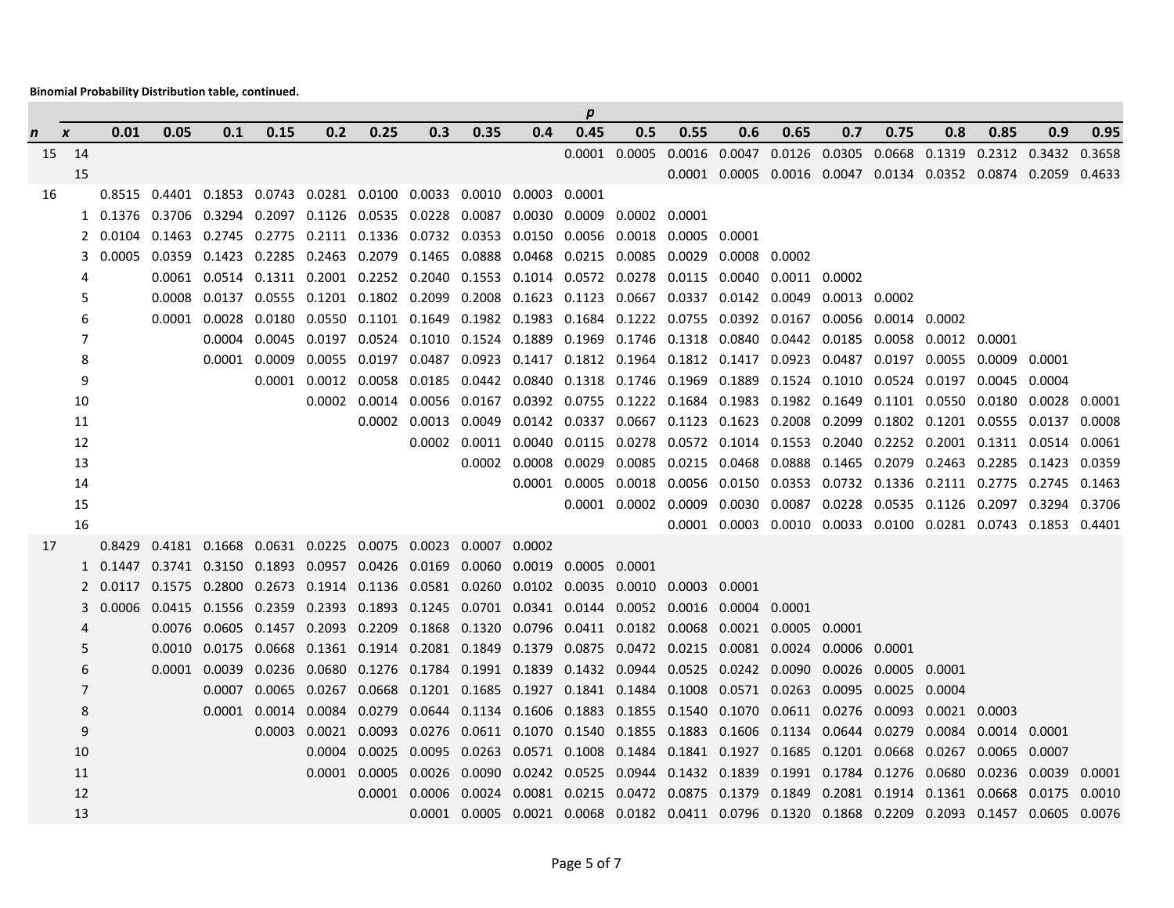|     |       |                                                                                                     |                                                                                                   |                      |                                                                                                                                                  |     |                                                                                                        |     |      |     | $\boldsymbol{p}$ |                                                                                        |      |     |      |     |      |                                                                                                                                                 |                      |        |        |
|-----|-------|-----------------------------------------------------------------------------------------------------|---------------------------------------------------------------------------------------------------|----------------------|--------------------------------------------------------------------------------------------------------------------------------------------------|-----|--------------------------------------------------------------------------------------------------------|-----|------|-----|------------------|----------------------------------------------------------------------------------------|------|-----|------|-----|------|-------------------------------------------------------------------------------------------------------------------------------------------------|----------------------|--------|--------|
| n x |       | 0.01                                                                                                | 0.05                                                                                              | 0.1                  | 0.15                                                                                                                                             | 0.2 | 0.25                                                                                                   | 0.3 | 0.35 | 0.4 | 0.45             | 0.5                                                                                    | 0.55 | 0.6 | 0.65 | 0.7 | 0.75 | 0.8                                                                                                                                             | 0.85                 | 0.9    | 0.95   |
|     | 15 14 |                                                                                                     |                                                                                                   |                      |                                                                                                                                                  |     |                                                                                                        |     |      |     |                  | 0.0001 0.0005 0.0016 0.0047 0.0126 0.0305 0.0668 0.1319                                |      |     |      |     |      |                                                                                                                                                 | 0.2312 0.3432 0.3658 |        |        |
|     | 15    |                                                                                                     |                                                                                                   |                      |                                                                                                                                                  |     |                                                                                                        |     |      |     |                  |                                                                                        |      |     |      |     |      | 0.0001  0.0005  0.0016  0.0047  0.0134  0.0352  0.0874  0.2059  0.4633                                                                          |                      |        |        |
| 16  |       |                                                                                                     | 0.8515  0.4401  0.1853  0.0743  0.0281  0.0100  0.0033  0.0010  0.0003  0.0001                    |                      |                                                                                                                                                  |     |                                                                                                        |     |      |     |                  |                                                                                        |      |     |      |     |      |                                                                                                                                                 |                      |        |        |
|     |       | 1 0.1376 0.3706 0.3294 0.2097 0.1126 0.0535 0.0228 0.0087 0.0030 0.0009 0.0002 0.0001               |                                                                                                   |                      |                                                                                                                                                  |     |                                                                                                        |     |      |     |                  |                                                                                        |      |     |      |     |      |                                                                                                                                                 |                      |        |        |
|     |       | 2 0.0104 0.1463 0.2745 0.2775 0.2111 0.1336 0.0732 0.0353 0.0150 0.0056 0.0018 0.0005 0.0001        |                                                                                                   |                      |                                                                                                                                                  |     |                                                                                                        |     |      |     |                  |                                                                                        |      |     |      |     |      |                                                                                                                                                 |                      |        |        |
|     | 3     |                                                                                                     | 0.0005 0.0359 0.1423 0.2285 0.2463 0.2079 0.1465 0.0888 0.0468 0.0215 0.0085 0.0029 0.0008 0.0002 |                      |                                                                                                                                                  |     |                                                                                                        |     |      |     |                  |                                                                                        |      |     |      |     |      |                                                                                                                                                 |                      |        |        |
|     | 4     |                                                                                                     |                                                                                                   |                      | $0.0061$ $0.0514$ $0.1311$ $0.2001$ $0.2252$ $0.2040$ $0.1553$ $0.1014$ $0.0572$ $0.0278$ $0.0115$ $0.0040$ $0.0011$ $0.0002$                    |     |                                                                                                        |     |      |     |                  |                                                                                        |      |     |      |     |      |                                                                                                                                                 |                      |        |        |
|     | 5     |                                                                                                     |                                                                                                   |                      | 0.0008 0.0137 0.0555 0.1201 0.1802 0.2099 0.2008 0.1623 0.1123 0.0667 0.0337 0.0142 0.0049 0.0013 0.0002                                         |     |                                                                                                        |     |      |     |                  |                                                                                        |      |     |      |     |      |                                                                                                                                                 |                      |        |        |
|     | 6     |                                                                                                     |                                                                                                   | 0.0001 0.0028 0.0180 |                                                                                                                                                  |     | 0.0550  0.1101  0.1649  0.1982  0.1983  0.1684  0.1222  0.0755  0.0392  0.0167  0.0056  0.0014  0.0002 |     |      |     |                  |                                                                                        |      |     |      |     |      |                                                                                                                                                 |                      |        |        |
|     | 7     |                                                                                                     |                                                                                                   |                      | 0.0004 0.0045                                                                                                                                    |     |                                                                                                        |     |      |     |                  |                                                                                        |      |     |      |     |      | 0.0197 0.0524 0.1010 0.1524 0.1889 0.1969 0.1746 0.1318 0.0840 0.0442 0.0185 0.0058 0.0012 0.0001                                               |                      |        |        |
|     | 8     |                                                                                                     |                                                                                                   |                      | 0.0001 0.0009                                                                                                                                    |     |                                                                                                        |     |      |     |                  |                                                                                        |      |     |      |     |      | 0.0055 0.0197 0.0487 0.0923 0.1417 0.1812 0.1964 0.1812 0.1417 0.0923 0.0487 0.0197 0.0055 0.0009 0.0001                                        |                      |        |        |
|     | 9     |                                                                                                     |                                                                                                   |                      | 0.0001                                                                                                                                           |     |                                                                                                        |     |      |     |                  |                                                                                        |      |     |      |     |      | 0.0012 0.0058 0.0185 0.0442 0.0840 0.1318 0.1746 0.1969 0.1889 0.1524 0.1010 0.0524 0.0197 0.0045                                               |                      | 0.0004 |        |
|     | 10    |                                                                                                     |                                                                                                   |                      |                                                                                                                                                  |     |                                                                                                        |     |      |     |                  |                                                                                        |      |     |      |     |      | $0.0002$ $0.0014$ $0.0056$ $0.0167$ $0.0392$ $0.0755$ $0.1222$ $0.1684$ $0.1983$ $0.1982$ $0.1649$ $0.1101$ $0.0550$ $0.0180$ $0.0028$ $0.0001$ |                      |        |        |
|     | 11    |                                                                                                     |                                                                                                   |                      |                                                                                                                                                  |     |                                                                                                        |     |      |     |                  |                                                                                        |      |     |      |     |      | 0.0002 0.0013 0.0049 0.0142 0.0337 0.0667 0.1123 0.1623 0.2008 0.2099 0.1802 0.1201 0.0555 0.0137 0.0008                                        |                      |        |        |
|     | 12    |                                                                                                     |                                                                                                   |                      |                                                                                                                                                  |     |                                                                                                        |     |      |     |                  |                                                                                        |      |     |      |     |      | 0.0002 0.0011 0.0040 0.0115 0.0278 0.0572 0.1014 0.1553 0.2040 0.2252 0.2001 0.1311 0.0514 0.0061                                               |                      |        |        |
|     | 13    |                                                                                                     |                                                                                                   |                      |                                                                                                                                                  |     |                                                                                                        |     |      |     |                  |                                                                                        |      |     |      |     |      | 0.0002 0.0008 0.0029 0.0085 0.0215 0.0468 0.0888 0.1465 0.2079 0.2463 0.2285 0.1423 0.0359                                                      |                      |        |        |
|     | 14    |                                                                                                     |                                                                                                   |                      |                                                                                                                                                  |     |                                                                                                        |     |      |     |                  |                                                                                        |      |     |      |     |      | 0.0001 0.0005 0.0018 0.0056 0.0150 0.0353 0.0732 0.1336 0.2111 0.2775 0.2745 0.1463                                                             |                      |        |        |
|     | 15    |                                                                                                     |                                                                                                   |                      |                                                                                                                                                  |     |                                                                                                        |     |      |     |                  |                                                                                        |      |     |      |     |      | 0.0001 0.0002 0.0009 0.0030 0.0087 0.0228 0.0535 0.1126 0.2097 0.3294 0.3706                                                                    |                      |        |        |
|     | 16    |                                                                                                     |                                                                                                   |                      |                                                                                                                                                  |     |                                                                                                        |     |      |     |                  |                                                                                        |      |     |      |     |      | 0.0001  0.0003  0.0010  0.0033  0.0100  0.0281  0.0743  0.1853  0.4401                                                                          |                      |        |        |
| 17  |       |                                                                                                     | 0.8429  0.4181  0.1668  0.0631  0.0225  0.0075  0.0023  0.0007  0.0002                            |                      |                                                                                                                                                  |     |                                                                                                        |     |      |     |                  |                                                                                        |      |     |      |     |      |                                                                                                                                                 |                      |        |        |
|     |       | 1 0.1447 0.3741 0.3150 0.1893 0.0957 0.0426 0.0169 0.0060 0.0019 0.0005 0.0001                      |                                                                                                   |                      |                                                                                                                                                  |     |                                                                                                        |     |      |     |                  |                                                                                        |      |     |      |     |      |                                                                                                                                                 |                      |        |        |
|     |       | 2 0.0117 0.1575 0.2800 0.2673 0.1914 0.1136 0.0581 0.0260 0.0102 0.0035 0.0010 0.0003 0.0001        |                                                                                                   |                      |                                                                                                                                                  |     |                                                                                                        |     |      |     |                  |                                                                                        |      |     |      |     |      |                                                                                                                                                 |                      |        |        |
|     |       | 3 0.0006 0.0415 0.1556 0.2359 0.2393 0.1893 0.1245 0.0701 0.0341 0.0144 0.0052 0.0016 0.0004 0.0001 |                                                                                                   |                      |                                                                                                                                                  |     |                                                                                                        |     |      |     |                  |                                                                                        |      |     |      |     |      |                                                                                                                                                 |                      |        |        |
|     | 4     |                                                                                                     |                                                                                                   |                      | 0.0076 0.0605 0.1457 0.2093 0.2209 0.1868 0.1320 0.0796 0.0411 0.0182 0.0068 0.0021 0.0005 0.0001                                                |     |                                                                                                        |     |      |     |                  |                                                                                        |      |     |      |     |      |                                                                                                                                                 |                      |        |        |
|     | 5     |                                                                                                     |                                                                                                   | 0.0010 0.0175 0.0668 |                                                                                                                                                  |     | 0.1361  0.1914  0.2081  0.1849  0.1379  0.0875  0.0472  0.0215  0.0081  0.0024  0.0006  0.0001         |     |      |     |                  |                                                                                        |      |     |      |     |      |                                                                                                                                                 |                      |        |        |
|     | 6     |                                                                                                     |                                                                                                   |                      | $0.0001$ $0.0039$ $0.0236$ $0.0680$ $0.1276$ $0.1784$ $0.1991$ $0.1839$ $0.1432$ $0.0944$ $0.0525$ $0.0242$ $0.0090$ $0.00026$ $0.0005$ $0.0001$ |     |                                                                                                        |     |      |     |                  |                                                                                        |      |     |      |     |      |                                                                                                                                                 |                      |        |        |
|     | 7     |                                                                                                     |                                                                                                   |                      | 0.0007 0.0065 0.0267 0.0668 0.1201 0.1685 0.1927 0.1841 0.1484 0.1008 0.0571 0.0263 0.0095 0.0025 0.0004                                         |     |                                                                                                        |     |      |     |                  |                                                                                        |      |     |      |     |      |                                                                                                                                                 |                      |        |        |
|     | 8     |                                                                                                     |                                                                                                   |                      | 0.0001 0.0014 0.0084 0.0279 0.0644 0.1134 0.1606 0.1883 0.1855 0.1540 0.1070 0.0611 0.0276 0.0093 0.0021 0.0003                                  |     |                                                                                                        |     |      |     |                  |                                                                                        |      |     |      |     |      |                                                                                                                                                 |                      |        |        |
|     | 9     |                                                                                                     |                                                                                                   |                      | 0.0003                                                                                                                                           |     | 0.0021 0.0093 0.0276 0.0611 0.1070 0.1540 0.1855 0.1883 0.1606 0.1134 0.0644 0.0279 0.0084             |     |      |     |                  |                                                                                        |      |     |      |     |      |                                                                                                                                                 | 0.0014               | 0.0001 |        |
|     | 10    |                                                                                                     |                                                                                                   |                      |                                                                                                                                                  |     | 0.0004 0.0025 0.0095 0.0263 0.0571 0.1008 0.1484 0.1841 0.1927 0.1685 0.1201 0.0668 0.0267             |     |      |     |                  |                                                                                        |      |     |      |     |      |                                                                                                                                                 | 0.0065               | 0.0007 |        |
|     | 11    |                                                                                                     |                                                                                                   |                      |                                                                                                                                                  |     | 0.0001 0.0005                                                                                          |     |      |     |                  | 0.0026 0.0090 0.0242 0.0525 0.0944 0.1432 0.1839 0.1991 0.1784 0.1276 0.0680           |      |     |      |     |      |                                                                                                                                                 | 0.0236 0.0039 0.0001 |        |        |
|     | 12    |                                                                                                     |                                                                                                   |                      |                                                                                                                                                  |     | 0.0001                                                                                                 |     |      |     |                  | 0.0006  0.0024  0.0081  0.0215  0.0472  0.0875  0.1379  0.1849  0.2081  0.1914  0.1361 |      |     |      |     |      |                                                                                                                                                 | 0.0668 0.0175        |        | 0.0010 |
|     | 13    |                                                                                                     |                                                                                                   |                      |                                                                                                                                                  |     |                                                                                                        |     |      |     |                  |                                                                                        |      |     |      |     |      | 0.0001 0.0005 0.0021 0.0068 0.0182 0.0411 0.0796 0.1320 0.1868 0.2209 0.2093 0.1457 0.0605 0.0076                                               |                      |        |        |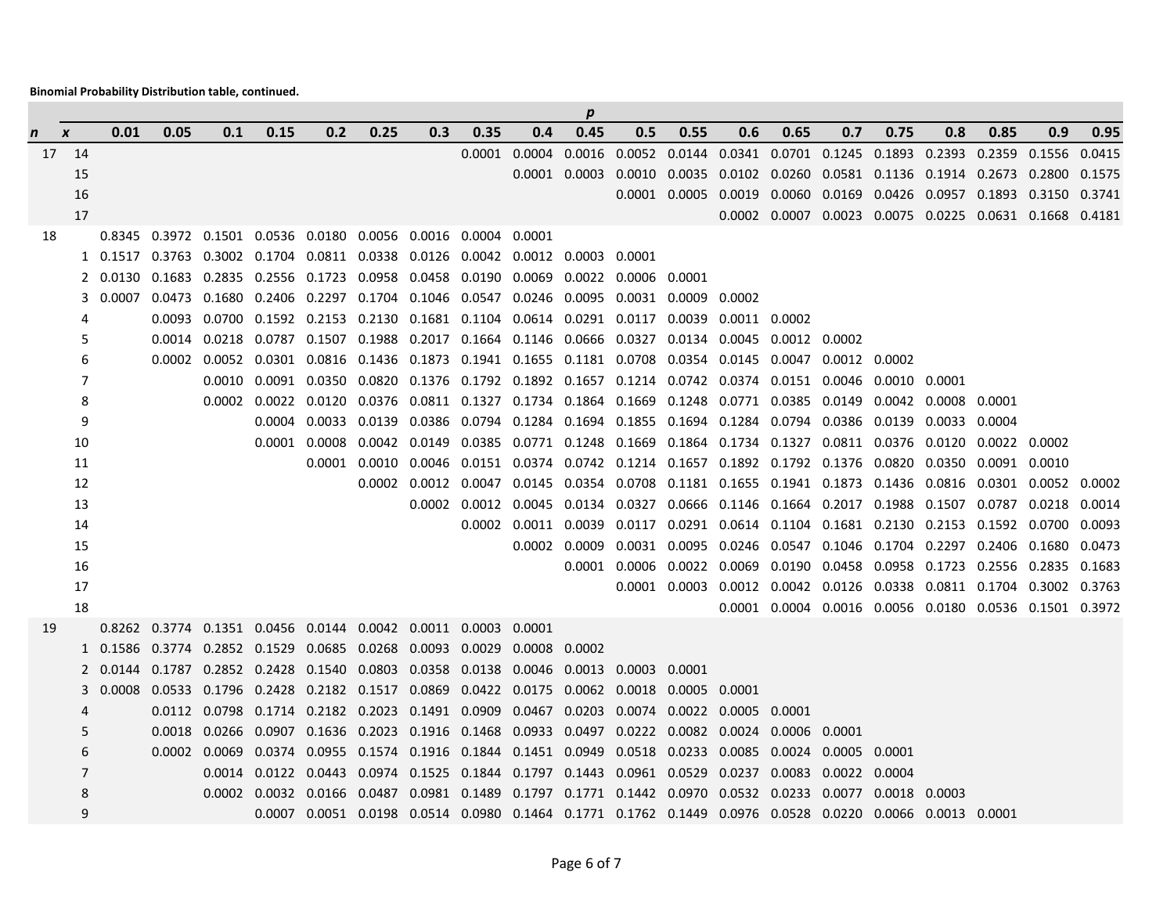п

|            |       |                                                                                                   |        |               |        |     |                                                                        |     |      |     | $\boldsymbol{p}$ |                                                                                                                                        |      |     |        |                      |               |     |                                                                                                                 |     |        |
|------------|-------|---------------------------------------------------------------------------------------------------|--------|---------------|--------|-----|------------------------------------------------------------------------|-----|------|-----|------------------|----------------------------------------------------------------------------------------------------------------------------------------|------|-----|--------|----------------------|---------------|-----|-----------------------------------------------------------------------------------------------------------------|-----|--------|
| $n \times$ |       | 0.01                                                                                              | 0.05   | 0.1           | 0.15   | 0.2 | 0.25                                                                   | 0.3 | 0.35 | 0.4 | 0.45             | 0.5                                                                                                                                    | 0.55 | 0.6 | 0.65   | 0.7                  | 0.75          | 0.8 | 0.85                                                                                                            | 0.9 | 0.95   |
|            | 17 14 |                                                                                                   |        |               |        |     |                                                                        |     |      |     |                  |                                                                                                                                        |      |     |        |                      |               |     | 0.0001 0.0004 0.0016 0.0052 0.0144 0.0341 0.0701 0.1245 0.1893 0.2393 0.2359 0.1556                             |     | 0.0415 |
|            | 15    |                                                                                                   |        |               |        |     |                                                                        |     |      |     |                  |                                                                                                                                        |      |     |        |                      |               |     | 0.0001 0.0003 0.0010 0.0035 0.0102 0.0260 0.0581 0.1136 0.1914 0.2673 0.2800                                    |     | 0.1575 |
|            | 16    |                                                                                                   |        |               |        |     |                                                                        |     |      |     |                  |                                                                                                                                        |      |     |        |                      |               |     | 0.0001  0.0005  0.0019  0.0060  0.0169  0.0426  0.0957  0.1893  0.3150  0.3741                                  |     |        |
|            | 17    |                                                                                                   |        |               |        |     |                                                                        |     |      |     |                  |                                                                                                                                        |      |     |        |                      |               |     | 0.0002 0.0007 0.0023 0.0075 0.0225 0.0631 0.1668 0.4181                                                         |     |        |
| 18         |       |                                                                                                   |        |               |        |     | 0.8345  0.3972  0.1501  0.0536  0.0180  0.0056  0.0016  0.0004  0.0001 |     |      |     |                  |                                                                                                                                        |      |     |        |                      |               |     |                                                                                                                 |     |        |
|            |       | 1 0.1517 0.3763 0.3002 0.1704 0.0811 0.0338 0.0126 0.0042 0.0012 0.0003 0.0001                    |        |               |        |     |                                                                        |     |      |     |                  |                                                                                                                                        |      |     |        |                      |               |     |                                                                                                                 |     |        |
|            |       | 2  0.0130  0.1683  0.2835  0.2556  0.1723  0.0958  0.0458  0.0190  0.0069  0.0022  0.0006  0.0001 |        |               |        |     |                                                                        |     |      |     |                  |                                                                                                                                        |      |     |        |                      |               |     |                                                                                                                 |     |        |
|            | 3     |                                                                                                   |        |               |        |     |                                                                        |     |      |     |                  | 0.0007 0.0473 0.1680 0.2406 0.2297 0.1704 0.1046 0.0547 0.0246 0.0095 0.0031 0.0009 0.0002                                             |      |     |        |                      |               |     |                                                                                                                 |     |        |
|            | 4     |                                                                                                   |        |               |        |     |                                                                        |     |      |     |                  | 0.0093 0.0700 0.1592 0.2153 0.2130 0.1681 0.1104 0.0614 0.0291 0.0117 0.0039 0.0011 0.0002                                             |      |     |        |                      |               |     |                                                                                                                 |     |        |
|            | 5     |                                                                                                   | 0.0014 |               |        |     |                                                                        |     |      |     |                  | 0.0218 0.0787 0.1507 0.1988 0.2017 0.1664 0.1146 0.0666 0.0327 0.0134 0.0045 0.0012 0.0002                                             |      |     |        |                      |               |     |                                                                                                                 |     |        |
|            | 6     |                                                                                                   | 0.0002 |               |        |     |                                                                        |     |      |     |                  | $0.0052$ $0.0301$ $0.0816$ $0.1436$ $0.1873$ $0.1941$ $0.1655$ $0.1181$ $0.0708$ $0.0354$ $0.0145$ $0.0047$ $0.0012$ $0.0002$          |      |     |        |                      |               |     |                                                                                                                 |     |        |
|            | 7     |                                                                                                   |        |               |        |     |                                                                        |     |      |     |                  | 0.0010 0.0091 0.0350 0.0820 0.1376 0.1792 0.1892 0.1657 0.1214 0.0742 0.0374 0.0151 0.0046                                             |      |     |        |                      | 0.0010 0.0001 |     |                                                                                                                 |     |        |
|            | 8     |                                                                                                   |        |               |        |     |                                                                        |     |      |     |                  | 0.0002 0.0022 0.0120 0.0376 0.0811 0.1327 0.1734 0.1864 0.1669 0.1248 0.0771 0.0385 0.0149 0.0042 0.0008                               |      |     |        |                      |               |     | 0.0001                                                                                                          |     |        |
|            | 9     |                                                                                                   |        |               | 0.0004 |     |                                                                        |     |      |     |                  | 0.0033 0.0139 0.0386 0.0794 0.1284 0.1694 0.1855 0.1694 0.1284 0.0794 0.0386 0.0139 0.0033 0.0004                                      |      |     |        |                      |               |     |                                                                                                                 |     |        |
|            | 10    |                                                                                                   |        |               |        |     |                                                                        |     |      |     |                  |                                                                                                                                        |      |     |        |                      |               |     | 0.0001 0.0008 0.0042 0.0149 0.0385 0.0771 0.1248 0.1669 0.1864 0.1734 0.1327 0.0811 0.0376 0.0120 0.0022 0.0002 |     |        |
|            | 11    |                                                                                                   |        |               |        |     |                                                                        |     |      |     |                  |                                                                                                                                        |      |     |        |                      |               |     | 0.0001 0.0010 0.0046 0.0151 0.0374 0.0742 0.1214 0.1657 0.1892 0.1792 0.1376 0.0820 0.0350 0.0091 0.0010        |     |        |
|            | 12    |                                                                                                   |        |               |        |     |                                                                        |     |      |     |                  | 0.0002 0.0012 0.0047 0.0145 0.0354 0.0708 0.1181 0.1655 0.1941 0.1873 0.1436 0.0816                                                    |      |     |        |                      |               |     | 0.0301  0.0052  0.0002                                                                                          |     |        |
|            | 13    |                                                                                                   |        |               |        |     |                                                                        |     |      |     |                  |                                                                                                                                        |      |     |        |                      |               |     | 0.0002 0.0012 0.0045 0.0134 0.0327 0.0666 0.1146 0.1664 0.2017 0.1988 0.1507 0.0787 0.0218 0.0014               |     |        |
|            | 14    |                                                                                                   |        |               |        |     |                                                                        |     |      |     |                  |                                                                                                                                        |      |     |        |                      |               |     | 0.0002 0.0011 0.0039 0.0117 0.0291 0.0614 0.1104 0.1681 0.2130 0.2153 0.1592 0.0700                             |     | 0.0093 |
|            | 15    |                                                                                                   |        |               |        |     |                                                                        |     |      |     |                  |                                                                                                                                        |      |     |        |                      |               |     | 0.0002 0.0009 0.0031 0.0095 0.0246 0.0547 0.1046 0.1704 0.2297 0.2406 0.1680                                    |     | 0.0473 |
|            | 16    |                                                                                                   |        |               |        |     |                                                                        |     |      |     |                  |                                                                                                                                        |      |     |        |                      |               |     | 0.0001 0.0006 0.0022 0.0069 0.0190 0.0458 0.0958 0.1723 0.2556 0.2835 0.1683                                    |     |        |
|            | 17    |                                                                                                   |        |               |        |     |                                                                        |     |      |     |                  |                                                                                                                                        |      |     |        |                      |               |     | 0.0001  0.0003  0.0012  0.0042  0.0126  0.0338  0.0811  0.1704  0.3002  0.3763                                  |     |        |
|            | 18    |                                                                                                   |        |               |        |     |                                                                        |     |      |     |                  |                                                                                                                                        |      |     |        |                      |               |     | 0.0001 0.0004 0.0016 0.0056 0.0180 0.0536 0.1501 0.3972                                                         |     |        |
| 19         |       |                                                                                                   |        |               |        |     | 0.8262  0.3774  0.1351  0.0456  0.0144  0.0042  0.0011  0.0003  0.0001 |     |      |     |                  |                                                                                                                                        |      |     |        |                      |               |     |                                                                                                                 |     |        |
|            |       | 1  0.1586  0.3774  0.2852  0.1529  0.0685  0.0268  0.0093  0.0029  0.0008  0.0002                 |        |               |        |     |                                                                        |     |      |     |                  |                                                                                                                                        |      |     |        |                      |               |     |                                                                                                                 |     |        |
|            | 2     |                                                                                                   |        |               |        |     |                                                                        |     |      |     |                  | 0.0144 0.1787 0.2852 0.2428 0.1540 0.0803 0.0358 0.0138 0.0046 0.0013 0.0003 0.0001                                                    |      |     |        |                      |               |     |                                                                                                                 |     |        |
|            | 3     |                                                                                                   |        |               |        |     |                                                                        |     |      |     |                  | 0.0008 0.0533 0.1796 0.2428 0.2182 0.1517 0.0869 0.0422 0.0175 0.0062 0.0018 0.0005 0.0001                                             |      |     |        |                      |               |     |                                                                                                                 |     |        |
|            | 4     |                                                                                                   |        |               |        |     |                                                                        |     |      |     |                  | 0.0112 0.0798 0.1714 0.2182 0.2023 0.1491 0.0909 0.0467 0.0203 0.0074 0.0022 0.0005 0.0001                                             |      |     |        |                      |               |     |                                                                                                                 |     |        |
|            | 5     |                                                                                                   |        | 0.0018 0.0266 |        |     |                                                                        |     |      |     |                  | 0.0907  0.1636  0.2023  0.1916  0.1468  0.0933  0.0497  0.0222  0.0082  0.0024                                                         |      |     | 0.0006 | 0.0001               |               |     |                                                                                                                 |     |        |
|            | 6     |                                                                                                   |        |               |        |     |                                                                        |     |      |     |                  | $0.0002$ $0.0069$ $0.0374$ $0.0955$ $0.1574$ $0.1916$ $0.1844$ $0.1451$ $0.0949$ $0.0518$ $0.0233$ $0.0085$ $0.0024$ $0.0005$ $0.0001$ |      |     |        |                      |               |     |                                                                                                                 |     |        |
|            | 7     |                                                                                                   |        |               |        |     |                                                                        |     |      |     |                  | 0.0014  0.0122  0.0443  0.0974  0.1525  0.1844  0.1797  0.1443  0.0961  0.0529  0.0237                                                 |      |     |        | 0.0083 0.0022 0.0004 |               |     |                                                                                                                 |     |        |
|            | 8     |                                                                                                   |        |               |        |     |                                                                        |     |      |     |                  | 0.0002 0.0032 0.0166 0.0487 0.0981 0.1489 0.1797 0.1771 0.1442 0.0970 0.0532 0.0233 0.0077 0.0018 0.0003                               |      |     |        |                      |               |     |                                                                                                                 |     |        |
|            | 9     |                                                                                                   |        |               |        |     |                                                                        |     |      |     |                  | 0.0007 0.0051 0.0198 0.0514 0.0980 0.1464 0.1771 0.1762 0.1449 0.0976 0.0528 0.0220 0.0066 0.0013 0.0001                               |      |     |        |                      |               |     |                                                                                                                 |     |        |